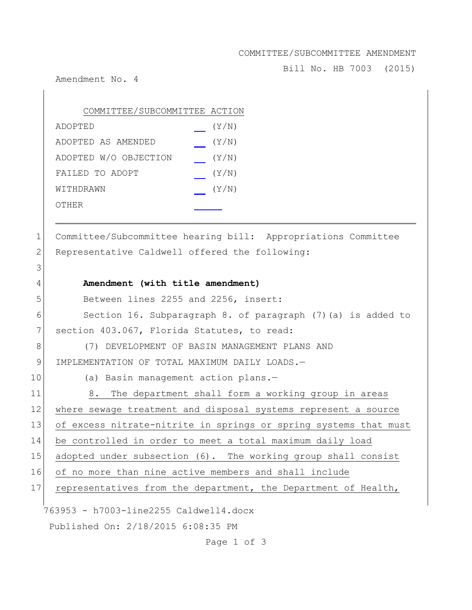## COMMITTEE/SUBCOMMITTEE AMENDMENT

Bill No. HB 7003 (2015)

Amendment No. 4

3

| COMMITTEE/SUBCOMMITTEE ACTION |       |
|-------------------------------|-------|
| ADOPTED                       | (Y/N) |
| ADOPTED AS AMENDED            | (Y/N) |
| ADOPTED W/O OBJECTION         | (Y/N) |
| FAILED TO ADOPT               | (Y/N) |
| WITHDRAWN                     | (Y/N) |
| OTHER                         |       |

1 Committee/Subcommittee hearing bill: Appropriations Committee 2 Representative Caldwell offered the following:

763953 - h7003-line2255 Caldwell4.docx Published On: 2/18/2015 6:08:35 PM 5 Between lines 2255 and 2256, insert: 6 Section 16. Subparagraph 8. of paragraph (7)(a) is added to 7 section 403.067, Florida Statutes, to read: 8 (7) DEVELOPMENT OF BASIN MANAGEMENT PLANS AND 9 IMPLEMENTATION OF TOTAL MAXIMUM DAILY LOADS.-10 (a) Basin management action plans.-11 8. The department shall form a working group in areas 12 where sewage treatment and disposal systems represent a source 13 of excess nitrate-nitrite in springs or spring systems that must 14 be controlled in order to meet a total maximum daily load 15 adopted under subsection (6). The working group shall consist 16 of no more than nine active members and shall include 17 representatives from the department, the Department of Health,

Page 1 of 3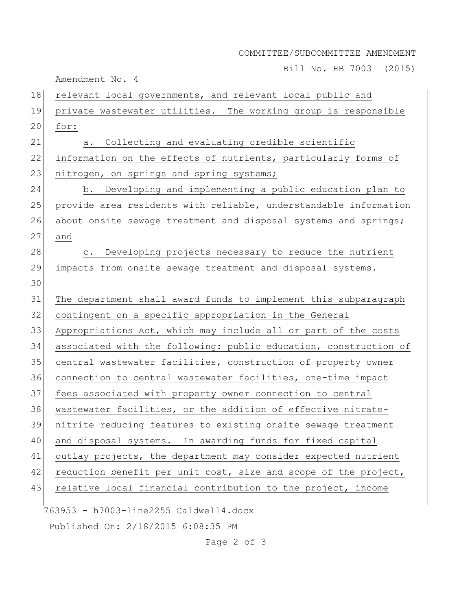## COMMITTEE/SUBCOMMITTEE AMENDMENT

Bill No. HB 7003 (2015)

Amendment No. 4

| 18 | relevant local governments, and relevant local public and        |
|----|------------------------------------------------------------------|
| 19 | private wastewater utilities. The working group is responsible   |
| 20 | for:                                                             |
| 21 | Collecting and evaluating credible scientific<br>а.              |
| 22 | information on the effects of nutrients, particularly forms of   |
| 23 | nitrogen, on springs and spring systems;                         |
| 24 | b. Developing and implementing a public education plan to        |
| 25 | provide area residents with reliable, understandable information |
| 26 | about onsite sewage treatment and disposal systems and springs;  |
| 27 | and                                                              |
| 28 | c. Developing projects necessary to reduce the nutrient          |
| 29 | impacts from onsite sewage treatment and disposal systems.       |
| 30 |                                                                  |
| 31 | The department shall award funds to implement this subparagraph  |
| 32 | contingent on a specific appropriation in the General            |
| 33 | Appropriations Act, which may include all or part of the costs   |
| 34 | associated with the following: public education, construction of |
| 35 | central wastewater facilities, construction of property owner    |
| 36 | connection to central wastewater facilities, one-time impact     |
| 37 | fees associated with property owner connection to central        |
| 38 | wastewater facilities, or the addition of effective nitrate-     |
| 39 | nitrite reducing features to existing onsite sewage treatment    |
| 40 | and disposal systems. In awarding funds for fixed capital        |
| 41 | outlay projects, the department may consider expected nutrient   |
| 42 | reduction benefit per unit cost, size and scope of the project,  |
| 43 | relative local financial contribution to the project, income     |
|    | 763953 - h7003-line2255 Caldwell4.docx                           |
|    | Published On: 2/18/2015 6:08:35 PM                               |

Page 2 of 3